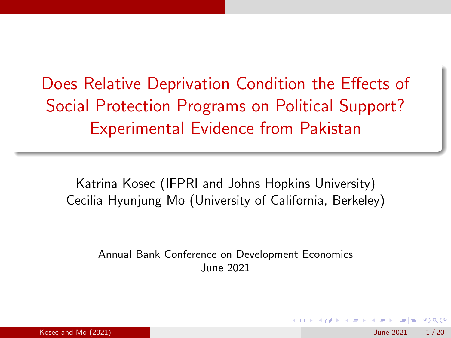Does Relative Deprivation Condition the Effects of Social Protection Programs on Political Support? Experimental Evidence from Pakistan

Katrina Kosec (IFPRI and Johns Hopkins University) Cecilia Hyunjung Mo (University of California, Berkeley)

Annual Bank Conference on Development Economics June 2021

 $\mathcal{A} \ \equiv \ \mathcal{B} \ \ \mathcal{A} \ \equiv \ \mathcal{B}$ 

 $\Omega$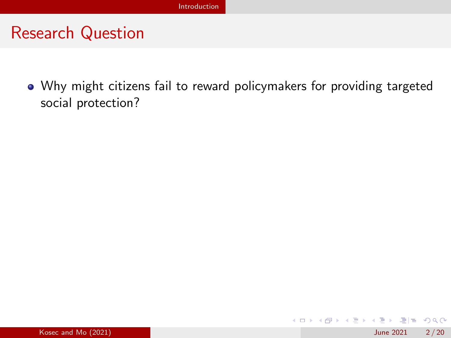## <span id="page-1-0"></span>Research Question

Why might citizens fail to reward policymakers for providing targeted social protection?

 $E|E \cap Q$ 

イロト イ押 トイヨ トイヨト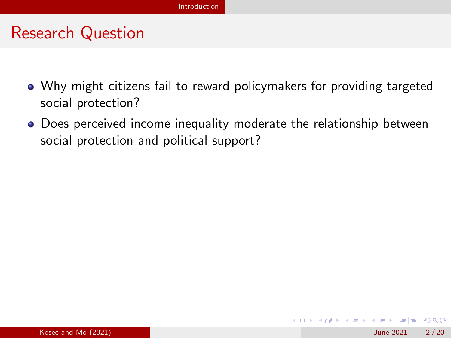### Research Question

- Why might citizens fail to reward policymakers for providing targeted social protection?
- Does perceived income inequality moderate the relationship between social protection and political support?

 $E|E \cap Q$ 

イロト イ押ト イヨト イヨト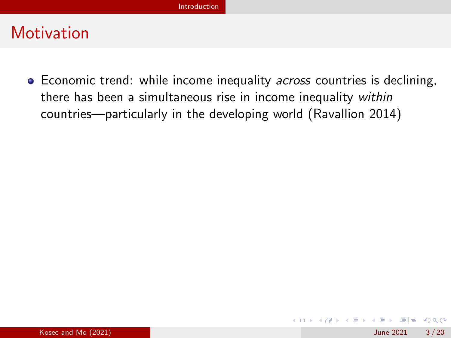<span id="page-3-0"></span>• Economic trend: while income inequality *across* countries is declining, there has been a simultaneous rise in income inequality within countries—particularly in the developing world (Ravallion 2014)

 $E|E \cap Q$ 

イロト イ部 トイヨ トイヨト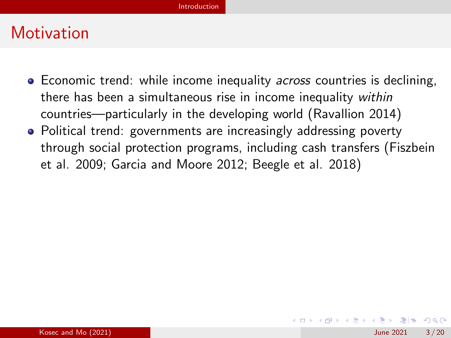- Economic trend: while income inequality *across* countries is declining, there has been a simultaneous rise in income inequality within countries—particularly in the developing world (Ravallion 2014)
- Political trend: governments are increasingly addressing poverty through social protection programs, including cash transfers (Fiszbein et al. 2009; Garcia and Moore 2012; Beegle et al. 2018)

K □ ▶ K ① ▶ K 로 ▶ K 로 ▶ 그리는 K) Q (^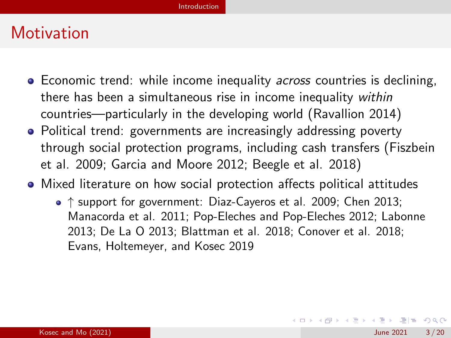- Economic trend: while income inequality *across* countries is declining, there has been a simultaneous rise in income inequality within countries—particularly in the developing world (Ravallion 2014)
- Political trend: governments are increasingly addressing poverty through social protection programs, including cash transfers (Fiszbein et al. 2009; Garcia and Moore 2012; Beegle et al. 2018)
- Mixed literature on how social protection affects political attitudes
	- ↑ support for government: Diaz-Cayeros et al. 2009; Chen 2013; Manacorda et al. 2011; Pop-Eleches and Pop-Eleches 2012; Labonne 2013; De La O 2013; Blattman et al. 2018; Conover et al. 2018; Evans, Holtemeyer, and Kosec 2019

K ロ > K 個 > K 로 > K 로 > 트립 = K) Q @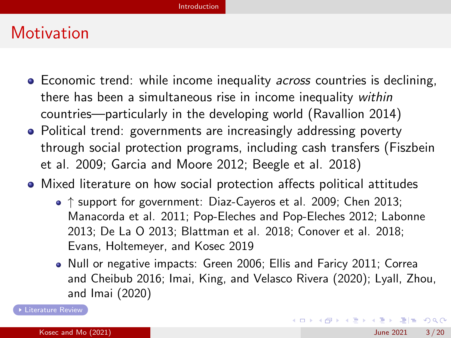- Economic trend: while income inequality *across* countries is declining, there has been a simultaneous rise in income inequality within countries—particularly in the developing world (Ravallion 2014)
- Political trend: governments are increasingly addressing poverty through social protection programs, including cash transfers (Fiszbein et al. 2009; Garcia and Moore 2012; Beegle et al. 2018)
- Mixed literature on how social protection affects political attitudes
	- ↑ support for government: Diaz-Cayeros et al. 2009; Chen 2013; Manacorda et al. 2011; Pop-Eleches and Pop-Eleches 2012; Labonne 2013; De La O 2013; Blattman et al. 2018; Conover et al. 2018; Evans, Holtemeyer, and Kosec 2019
	- Null or negative impacts: Green 2006; Ellis and Faricy 2011; Correa and Cheibub 2016; Imai, King, and Velasco Rivera (2020); Lyall, Zhou, and Imai (2020)

[Literature Review](#page-36-0)

KED KARD KED KED EN AGA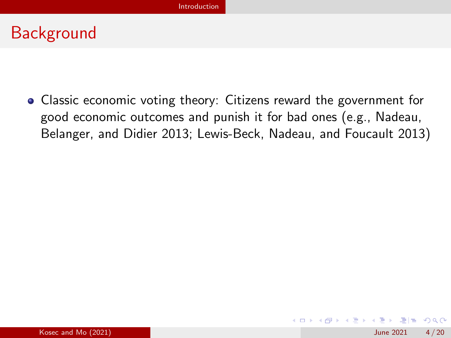## **Background**

Classic economic voting theory: Citizens reward the government for good economic outcomes and punish it for bad ones (e.g., Nadeau, Belanger, and Didier 2013; Lewis-Beck, Nadeau, and Foucault 2013)

K ロ ▶ K 個 ▶ K ヨ ▶ K ヨ ▶ (ヨ)도 19 Q @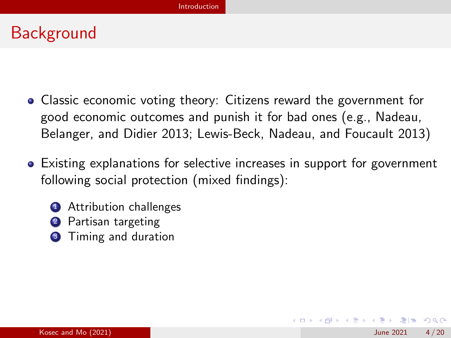## Background

- Classic economic voting theory: Citizens reward the government for good economic outcomes and punish it for bad ones (e.g., Nadeau, Belanger, and Didier 2013; Lewis-Beck, Nadeau, and Foucault 2013)
- Existing explanations for selective increases in support for government following social protection (mixed findings):
	- Attribution challenges
	- Partisan targeting
	- <sup>3</sup> Timing and duration

K □ ▶ K 何 ▶ K 로 ▶ K 로 ▶ 그리는 K) Q (^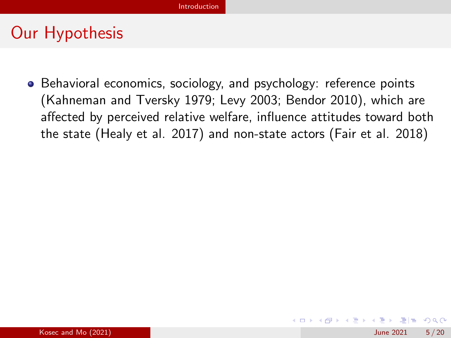## Our Hypothesis

• Behavioral economics, sociology, and psychology: reference points (Kahneman and Tversky 1979; Levy 2003; Bendor 2010), which are affected by perceived relative welfare, influence attitudes toward both the state (Healy et al. 2017) and non-state actors (Fair et al. 2018)

K ロ > K 個 > K 로 > K 로 > 트립 = K) Q @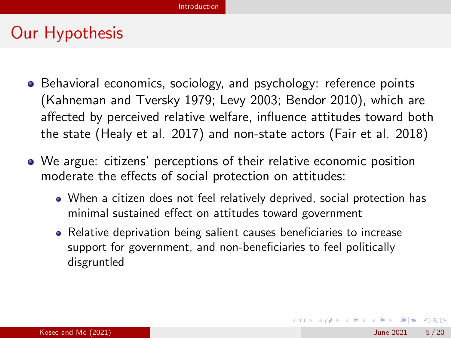## Our Hypothesis

- Behavioral economics, sociology, and psychology: reference points (Kahneman and Tversky 1979; Levy 2003; Bendor 2010), which are affected by perceived relative welfare, influence attitudes toward both the state (Healy et al. 2017) and non-state actors (Fair et al. 2018)
- We argue: citizens' perceptions of their relative economic position moderate the effects of social protection on attitudes:
	- When a citizen does not feel relatively deprived, social protection has minimal sustained effect on attitudes toward government
	- Relative deprivation being salient causes beneficiaries to increase support for government, and non-beneficiaries to feel politically disgruntled

K ロ ▶ K 個 ▶ K 로 ▶ K 로 ▶ 그리도 YO Q @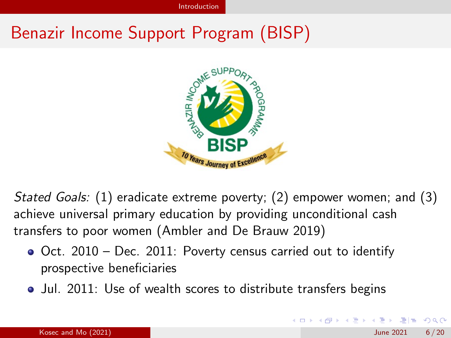## Benazir Income Support Program (BISP)



Stated Goals: (1) eradicate extreme poverty; (2) empower women; and (3) achieve universal primary education by providing unconditional cash transfers to poor women (Ambler and De Brauw 2019)

- $\bullet$  Oct. 2010 Dec. 2011: Poverty census carried out to identify prospective beneficiaries
- Jul. 2011: Use of wealth scores to distribute transfers begins

 $F = \Omega$ 

**◆ロト ◆母ト ◆ミト → ミト**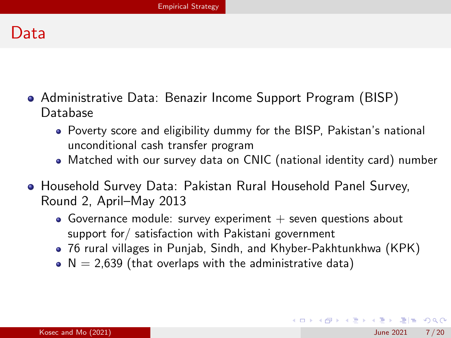## <span id="page-12-0"></span>Data

- Administrative Data: Benazir Income Support Program (BISP) Database
	- Poverty score and eligibility dummy for the BISP, Pakistan's national unconditional cash transfer program
	- Matched with our survey data on CNIC (national identity card) number
- Household Survey Data: Pakistan Rural Household Panel Survey, Round 2, April–May 2013
	- Governance module: survey experiment  $+$  seven questions about support for/ satisfaction with Pakistani government
	- 76 rural villages in Punjab, Sindh, and Khyber-Pakhtunkhwa (KPK)
	- $\bullet$  N = 2,639 (that overlaps with the administrative data)

KOD KARD KED KED EIE VAA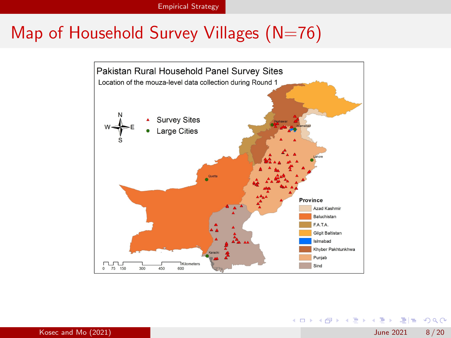## Map of Household Survey Villages  $(N=76)$



K ロ ▶ K 個 ▶ K 로 ▶ K 로 ▶ 그리도 YO Q @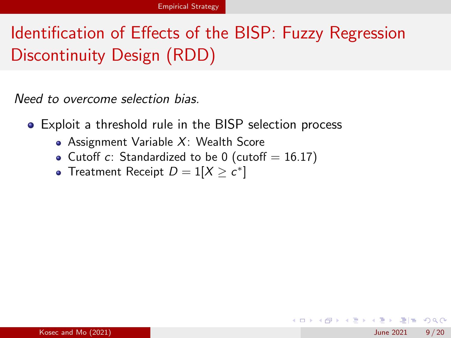# Identification of Effects of the BISP: Fuzzy Regression Discontinuity Design (RDD)

Need to overcome selection bias.

- Exploit a threshold rule in the BISP selection process
	- Assignment Variable  $X:$  Wealth Score
	- Cutoff  $c$ : Standardized to be 0 (cutoff = 16.17)
	- Treatment Receipt  $D = 1[X \geq c^*]$

K □ ▶ K ① ▶ K 로 ▶ K 로 ▶ 그리는 K) Q (^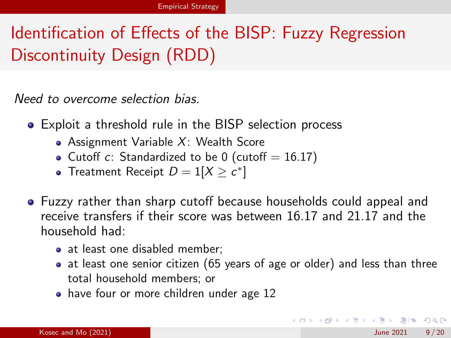# Identification of Effects of the BISP: Fuzzy Regression Discontinuity Design (RDD)

Need to overcome selection bias.

- Exploit a threshold rule in the BISP selection process
	- Assignment Variable  $X:$  Wealth Score
	- Cutoff c: Standardized to be 0 (cutoff  $= 16.17$ )
	- Treatment Receipt  $D = 1[X \geq c^*]$
- Fuzzy rather than sharp cutoff because households could appeal and receive transfers if their score was between 16.17 and 21.17 and the household had:
	- at least one disabled member:
	- at least one senior citizen (65 years of age or older) and less than three total household members; or
	- have four or more children under age 12

KOD KARD KED KED EN AQA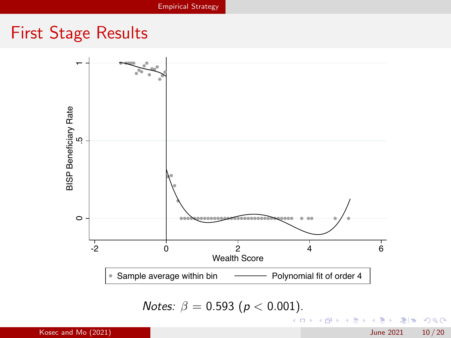## First Stage Results



Notes:  $\beta = 0.593$  ( $p < 0.001$ ).

4 0 8

- ← 冊 →

化重新化重

重目 のへぐ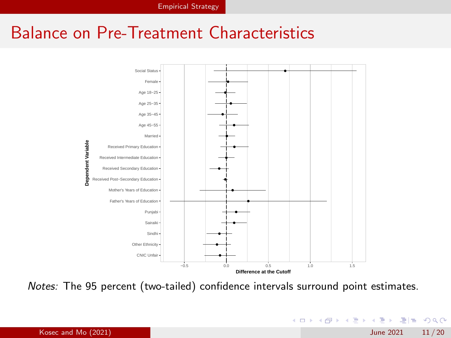## Balance on Pre-Treatment Characteristics



Notes: The 95 percent (two-tailed) confidence intervals surround point estimates.

 $E|E \cap Q$ 

**K ロ ▶ K 御 ▶ K 君 ▶ K 君**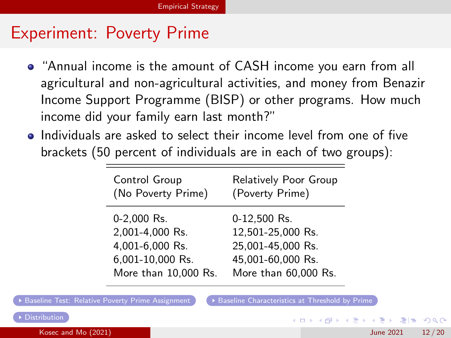## Experiment: Poverty Prime

- <span id="page-18-0"></span>"Annual income is the amount of CASH income you earn from all agricultural and non-agricultural activities, and money from Benazir Income Support Programme (BISP) or other programs. How much income did your family earn last month?"
- Individuals are asked to select their income level from one of five brackets (50 percent of individuals are in each of two groups):

| Control Group        | Relatively Poor Group |
|----------------------|-----------------------|
| (No Poverty Prime)   | (Poverty Prime)       |
| 0-2,000 Rs.          | 0-12,500 Rs.          |
| 2,001-4,000 Rs.      | 12,501-25,000 Rs.     |
| 4,001-6,000 Rs.      | 25,001-45,000 Rs.     |
| 6,001-10,000 Rs.     | 45,001-60,000 Rs.     |
| More than 10,000 Rs. | More than 60,000 Rs.  |

KOD KARD KED KED EIE VAA

[Baseline Test: Relative Poverty Prime Assignment](#page-30-0)  $\bullet$  [Baseline Characteristics at Threshold by Prime](#page-34-0)

Kosec and Mo (2021) June 2021 12 / 20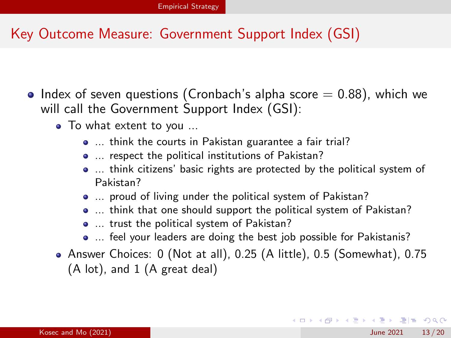#### Key Outcome Measure: Government Support Index (GSI)

- Index of seven questions (Cronbach's alpha score  $= 0.88$ ), which we will call the Government Support Index (GSI):
	- To what extent to you ...
		- ... think the courts in Pakistan guarantee a fair trial?
		- $\bullet$  ... respect the political institutions of Pakistan?
		- ... think citizens' basic rights are protected by the political system of Pakistan?
		- ... proud of living under the political system of Pakistan?
		- $\bullet$  ... think that one should support the political system of Pakistan?
		- $\bullet$  ... trust the political system of Pakistan?
		- ... feel your leaders are doing the best job possible for Pakistanis?
	- Answer Choices: 0 (Not at all), 0.25 (A little), 0.5 (Somewhat), 0.75 (A lot), and 1 (A great deal)

KED KARD KED KED EN AGA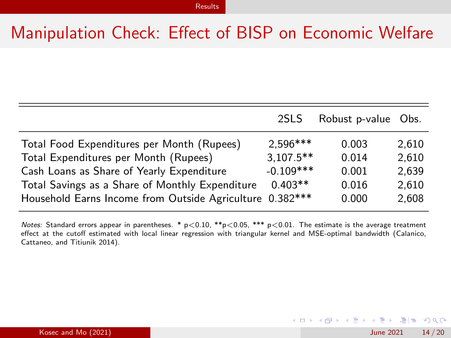## <span id="page-20-0"></span>Manipulation Check: Effect of BISP on Economic Welfare

|                                                          | 2SLS         | Robust p-value Obs. |       |
|----------------------------------------------------------|--------------|---------------------|-------|
| Total Food Expenditures per Month (Rupees)               | $2.596***$   | 0.003               | 2,610 |
| Total Expenditures per Month (Rupees)                    | $3,107.5***$ | 0.014               | 2,610 |
| Cash Loans as Share of Yearly Expenditure                | $-0.109$ *** | 0.001               | 2,639 |
| Total Savings as a Share of Monthly Expenditure          | $0.403**$    | 0.016               | 2,610 |
| Household Earns Income from Outside Agriculture 0.382*** |              | 0.000               | 2,608 |

Notes: Standard errors appear in parentheses. \*  $p < 0.10$ , \*\* $p < 0.05$ , \*\*\*  $p < 0.01$ . The estimate is the average treatment effect at the cutoff estimated with local linear regression with triangular kernel and MSE-optimal bandwidth (Calanico, Cattaneo, and Titiunik 2014).

KED KARD KED KED EN AGA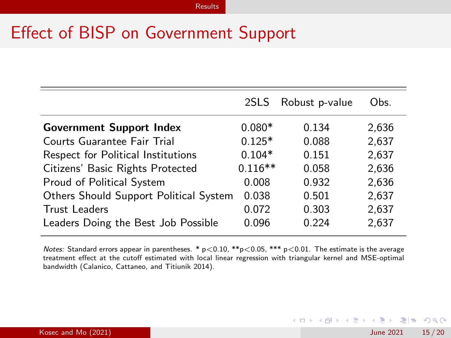## Effect of BISP on Government Support

|                                        |           | 2SLS Robust p-value | Obs.  |
|----------------------------------------|-----------|---------------------|-------|
| <b>Government Support Index</b>        | $0.080*$  | 0.134               | 2.636 |
| Courts Guarantee Fair Trial            | $0.125*$  | 0.088               | 2.637 |
| Respect for Political Institutions     | $0.104*$  | 0.151               | 2.637 |
| Citizens' Basic Rights Protected       | $0.116**$ | 0.058               | 2.636 |
| Proud of Political System              | 0.008     | 0.932               | 2.636 |
| Others Should Support Political System | 0.038     | 0.501               | 2,637 |
| <b>Trust Leaders</b>                   | 0.072     | 0.303               | 2,637 |
| Leaders Doing the Best Job Possible    | 0.096     | 0.224               | 2,637 |

Notes: Standard errors appear in parentheses. \*  $p < 0.10$ , \*\* $p < 0.05$ , \*\*\*  $p < 0.01$ . The estimate is the average treatment effect at the cutoff estimated with local linear regression with triangular kernel and MSE-optimal bandwidth (Calanico, Cattaneo, and Titiunik 2014).

K ロ ▶ K 個 ▶ K 로 ▶ K 로 ▶ 그리도 YO Q @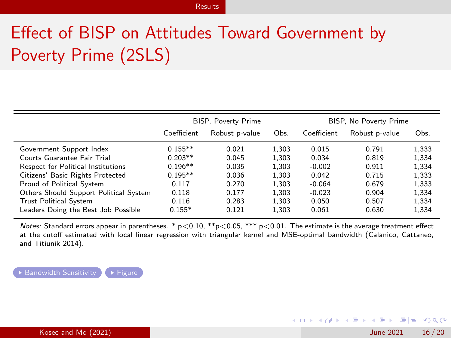# Effect of BISP on Attitudes Toward Government by Poverty Prime (2SLS)

<span id="page-22-0"></span>

|                                        | <b>BISP, Poverty Prime</b> |                |       | BISP, No Poverty Prime |                |       |  |
|----------------------------------------|----------------------------|----------------|-------|------------------------|----------------|-------|--|
|                                        | Coefficient                | Robust p-value | Obs.  | Coefficient            | Robust p-value | Obs.  |  |
| Government Support Index               | $0.155**$                  | 0.021          | 1.303 | 0.015                  | 0.791          | 1,333 |  |
| Courts Guarantee Fair Trial            | $0.203**$                  | 0.045          | 1.303 | 0.034                  | 0.819          | 1.334 |  |
| Respect for Political Institutions     | $0.196**$                  | 0.035          | 1.303 | $-0.002$               | 0.911          | 1.334 |  |
| Citizens' Basic Rights Protected       | $0.195**$                  | 0.036          | 1.303 | 0.042                  | 0.715          | 1.333 |  |
| Proud of Political System              | 0.117                      | 0.270          | 1.303 | $-0.064$               | 0.679          | 1,333 |  |
| Others Should Support Political System | 0.118                      | 0.177          | 1.303 | $-0.023$               | 0.904          | 1.334 |  |
| <b>Trust Political System</b>          | 0.116                      | 0.283          | 1.303 | 0.050                  | 0.507          | 1.334 |  |
| Leaders Doing the Best Job Possible    | $0.155*$                   | 0.121          | 1.303 | 0.061                  | 0.630          | 1.334 |  |

Notes: Standard errors appear in parentheses. \*  $p < 0.10$ , \*\* $p < 0.05$ , \*\*\*  $p < 0.01$ . The estimate is the average treatment effect at the cutoff estimated with local linear regression with triangular kernel and MSE-optimal bandwidth (Calanico, Cattaneo, and Titiunik 2014).

**[Bandwidth Sensitivity](#page-31-0)**  $\rightarrow$  [Figure](#page-32-0)

KED KARD KED KED EN AGA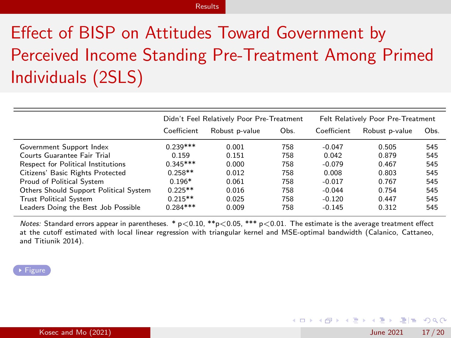#### [Results](#page-20-0)

# Effect of BISP on Attitudes Toward Government by Perceived Income Standing Pre-Treatment Among Primed Individuals (2SLS)

<span id="page-23-0"></span>

|                                        | Didn't Feel Relatively Poor Pre-Treatment |                |      | Felt Relatively Poor Pre-Treatment |                |      |
|----------------------------------------|-------------------------------------------|----------------|------|------------------------------------|----------------|------|
|                                        | Coefficient                               | Robust p-value | Obs. | Coefficient                        | Robust p-value | Obs. |
| Government Support Index               | $0.239***$                                | 0.001          | 758  | $-0.047$                           | 0.505          | 545  |
| Courts Guarantee Fair Trial            | 0.159                                     | 0.151          | 758  | 0.042                              | 0.879          | 545  |
| Respect for Political Institutions     | $0.345***$                                | 0.000          | 758  | $-0.079$                           | 0.467          | 545  |
| Citizens' Basic Rights Protected       | $0.258**$                                 | 0.012          | 758  | 0.008                              | 0.803          | 545  |
| Proud of Political System              | $0.196*$                                  | 0.061          | 758  | $-0.017$                           | 0.767          | 545  |
| Others Should Support Political System | $0.225**$                                 | 0.016          | 758  | $-0.044$                           | 0.754          | 545  |
| <b>Trust Political System</b>          | $0.215**$                                 | 0.025          | 758  | $-0.120$                           | 0.447          | 545  |
| Leaders Doing the Best Job Possible    | $0.284***$                                | 0.009          | 758  | $-0.145$                           | 0.312          | 545  |

Notes: Standard errors appear in parentheses. \*  $p < 0.10$ , \*\*p $< 0.05$ , \*\*\*  $p < 0.01$ . The estimate is the average treatment effect at the cutoff estimated with local linear regression with triangular kernel and MSE-optimal bandwidth (Calanico, Cattaneo, and Titiunik 2014).

#### [Figure](#page-33-0)

K □ ▶ K ① ▶ K 로 ▶ K 로 ▶ 그리는 K) Q (^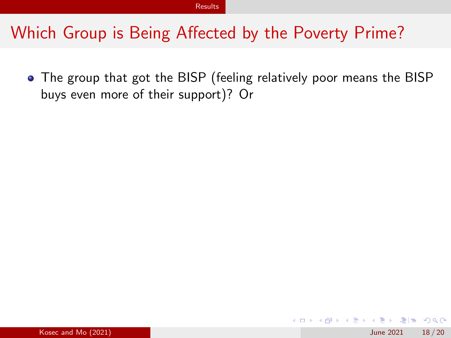## Which Group is Being Affected by the Poverty Prime?

The group that got the BISP (feeling relatively poor means the BISP buys even more of their support)? Or

14 E K 4 E

 $E|E \cap Q$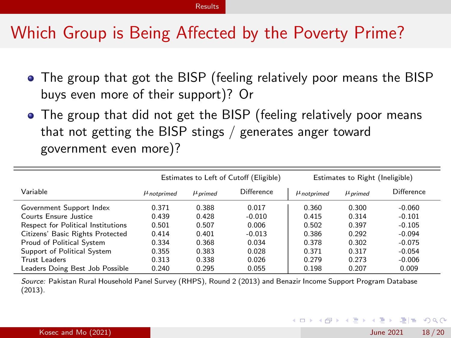## Which Group is Being Affected by the Poverty Prime?

- The group that got the BISP (feeling relatively poor means the BISP buys even more of their support)? Or
- The group that did not get the BISP (feeling relatively poor means that not getting the BISP stings / generates anger toward government even more)?

|                                    | Estimates to Left of Cutoff (Eligible) |              |            | Estimates to Right (Ineligible) |              |            |  |
|------------------------------------|----------------------------------------|--------------|------------|---------------------------------|--------------|------------|--|
| Variable                           | $\mu$ <sub>notprimed</sub>             | $\mu$ primed | Difference | $\mu$ <sub>notprimed</sub>      | $\mu$ primed | Difference |  |
| Government Support Index           | 0.371                                  | 0.388        | 0.017      | 0.360                           | 0.300        | $-0.060$   |  |
| Courts Ensure Justice              | 0.439                                  | 0.428        | $-0.010$   | 0.415                           | 0.314        | $-0.101$   |  |
| Respect for Political Institutions | 0.501                                  | 0.507        | 0.006      | 0.502                           | 0.397        | $-0.105$   |  |
| Citizens' Basic Rights Protected   | 0.414                                  | 0.401        | $-0.013$   | 0.386                           | 0.292        | $-0.094$   |  |
| Proud of Political System          | 0.334                                  | 0.368        | 0.034      | 0.378                           | 0.302        | $-0.075$   |  |
| Support of Political System        | 0.355                                  | 0.383        | 0.028      | 0.371                           | 0.317        | $-0.054$   |  |
| Trust Leaders                      | 0.313                                  | 0.338        | 0.026      | 0.279                           | 0.273        | $-0.006$   |  |
| Leaders Doing Best Job Possible    | 0.240                                  | 0.295        | 0.055      | 0.198                           | 0.207        | 0.009      |  |

Source: Pakistan Rural Household Panel Survey (RHPS), Round 2 (2013) and Benazir Income Support Program Database (2013).

K □ ▶ K ① ▶ K 로 ▶ K 로 ▶ 그리는 K) Q (^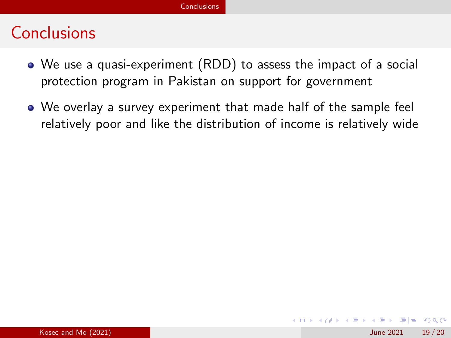## <span id="page-26-0"></span>**Conclusions**

- We use a quasi-experiment (RDD) to assess the impact of a social protection program in Pakistan on support for government
- We overlay a survey experiment that made half of the sample feel relatively poor and like the distribution of income is relatively wide

 $E|E \cap Q$ 

医毛囊 医牙骨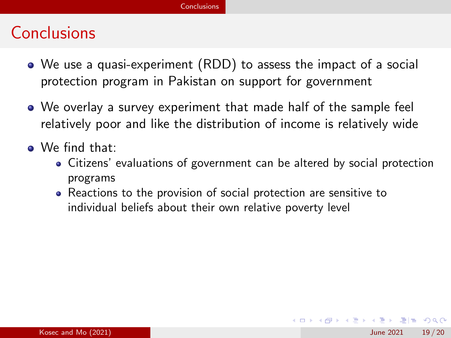## **Conclusions**

- We use a quasi-experiment (RDD) to assess the impact of a social protection program in Pakistan on support for government
- We overlay a survey experiment that made half of the sample feel relatively poor and like the distribution of income is relatively wide
- We find that:
	- Citizens' evaluations of government can be altered by social protection programs
	- Reactions to the provision of social protection are sensitive to individual beliefs about their own relative poverty level

K □ ▶ K 何 ▶ K 로 ▶ K 로 ▶ 그리는 K) Q (^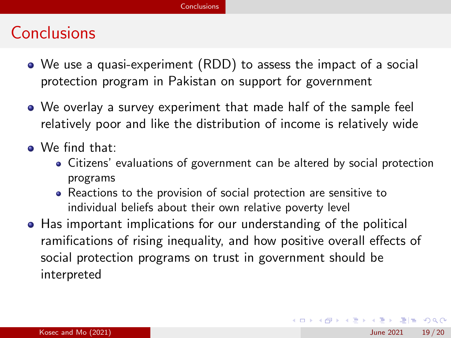## Conclusions

- We use a quasi-experiment (RDD) to assess the impact of a social protection program in Pakistan on support for government
- We overlay a survey experiment that made half of the sample feel relatively poor and like the distribution of income is relatively wide
- We find that:
	- Citizens' evaluations of government can be altered by social protection programs
	- Reactions to the provision of social protection are sensitive to individual beliefs about their own relative poverty level
- Has important implications for our understanding of the political ramifications of rising inequality, and how positive overall effects of social protection programs on trust in government should be interpreted

KED KARD KED KED EN AGA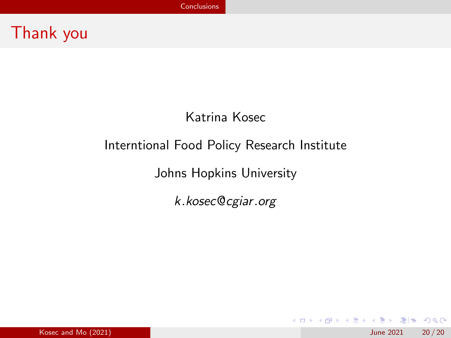## Thank you

#### Katrina Kosec

#### Interntional Food Policy Research Institute

Johns Hopkins University

k.kosec@cgiar.org

K ロ ▶ K 個 ▶ K ヨ ▶ K ヨ ▶ (ヨ) = 1 9 9 0

**Kosec and Mo (2021) June 2021** 20 / 20 *June* 2021 20 / 20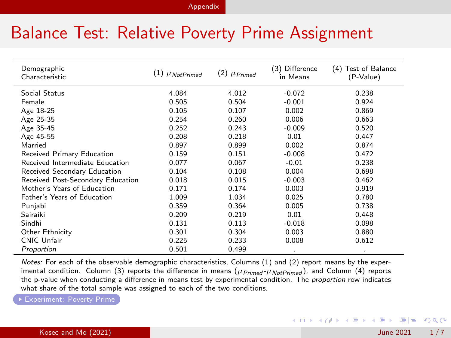#### [Appendix](#page-30-1)

## <span id="page-30-1"></span>Balance Test: Relative Poverty Prime Assignment

<span id="page-30-0"></span>

| Demographic<br>Characteristic     | $(1)$ $\mu$ NotPrimed | $(2)$ $\mu$ Primed | (3) Difference<br>in Means | Test of Balance<br>(4)<br>(P-Value) |
|-----------------------------------|-----------------------|--------------------|----------------------------|-------------------------------------|
| Social Status                     | 4.084                 | 4.012              | $-0.072$                   | 0.238                               |
| Female                            | 0.505                 | 0.504              | $-0.001$                   | 0.924                               |
| Age 18-25                         | 0.105                 | 0.107              | 0.002                      | 0.869                               |
| Age 25-35                         | 0.254                 | 0.260              | 0.006                      | 0.663                               |
| Age 35-45                         | 0.252                 | 0.243              | $-0.009$                   | 0.520                               |
| Age 45-55                         | 0.208                 | 0.218              | 0.01                       | 0.447                               |
| Married                           | 0.897                 | 0.899              | 0.002                      | 0.874                               |
| Received Primary Education        | 0.159                 | 0.151              | $-0.008$                   | 0.472                               |
| Received Intermediate Education   | 0.077                 | 0.067              | $-0.01$                    | 0.238                               |
| Received Secondary Education      | 0.104                 | 0.108              | 0.004                      | 0.698                               |
| Received Post-Secondary Education | 0.018                 | 0.015              | $-0.003$                   | 0.462                               |
| Mother's Years of Education       | 0.171                 | 0.174              | 0.003                      | 0.919                               |
| Father's Years of Education       | 1.009                 | 1.034              | 0.025                      | 0.780                               |
| Punjabi                           | 0.359                 | 0.364              | 0.005                      | 0.738                               |
| Sairaiki                          | 0.209                 | 0.219              | 0.01                       | 0.448                               |
| Sindhi                            | 0.131                 | 0.113              | $-0.018$                   | 0.098                               |
| Other Ethnicity                   | 0.301                 | 0.304              | 0.003                      | 0.880                               |
| CNIC Unfair                       | 0.225                 | 0.233              | 0.008                      | 0.612                               |
| Proportion                        | 0.501                 | 0.499              |                            | ٠                                   |

Notes: For each of the observable demographic characteristics, Columns (1) and (2) report means by the experimental condition. Column (3) reports the difference in means ( $\mu_{Primed}$ - $\mu_{NotPrimed}$ ), and Column (4) reports the p-value when conducting a difference in means test by experimental condition. The proportion row indicates what share of the total sample was assigned to each of the two conditions.

KED KARD KED KED EIE KOAA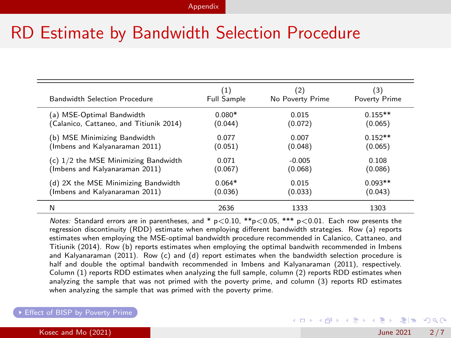## RD Estimate by Bandwidth Selection Procedure

<span id="page-31-0"></span>

| <b>Bandwidth Selection Procedure</b>    | (1)                | (2)              | (3)           |
|-----------------------------------------|--------------------|------------------|---------------|
|                                         | <b>Full Sample</b> | No Poverty Prime | Poverty Prime |
| (a) MSE-Optimal Bandwidth               | $0.080*$           | 0.015            | $0.155**$     |
| (Calanico, Cattaneo, and Titiunik 2014) | (0.044)            | (0.072)          | (0.065)       |
| (b) MSE Minimizing Bandwidth            | 0.077              | 0.007            | $0.152**$     |
| (Imbens and Kalyanaraman 2011)          | (0.051)            | (0.048)          | (0.065)       |
| $(c)$ 1/2 the MSE Minimizing Bandwidth  | 0.071              | $-0.005$         | 0.108         |
| (Imbens and Kalyanaraman 2011)          | (0.067)            | (0.068)          | (0.086)       |
| (d) 2X the MSE Minimizing Bandwidth     | $0.064*$           | 0.015            | $0.093**$     |
| (Imbens and Kalyanaraman 2011)          | (0.036)            | (0.033)          | (0.043)       |
| N                                       | 2636               | 1333             | 1303          |

Notes: Standard errors are in parentheses, and \*  $p < 0.10$ , \*\* $p < 0.05$ , \*\*\*  $p < 0.01$ . Each row presents the regression discontinuity (RDD) estimate when employing different bandwidth strategies. Row (a) reports estimates when employing the MSE-optimal bandwidth procedure recommended in Calanico, Cattaneo, and Titiunik (2014). Row (b) reports estimates when employing the optimal bandwith recommended in Imbens and Kalyanaraman (2011). Row (c) and (d) report estimates when the bandwidth selection procedure is half and double the optimal bandwith recommended in Imbens and Kalyanaraman (2011), respectively. Column (1) reports RDD estimates when analyzing the full sample, column (2) reports RDD estimates when analyzing the sample that was not primed with the poverty prime, and column (3) reports RD estimates when analyzing the sample that was primed with the poverty prime.

#### ▶ [Effect of BISP by Poverty Prime](#page-22-0)

KED KARD KED KED EIE KOAA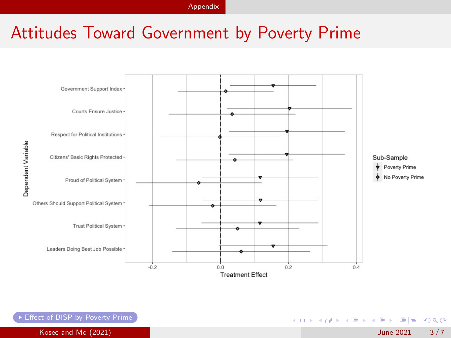[Appendix](#page-30-1)

## Attitudes Toward Government by Poverty Prime

<span id="page-32-0"></span>

Dependent Variable

[Effect of BISP by Poverty Prime](#page-22-0)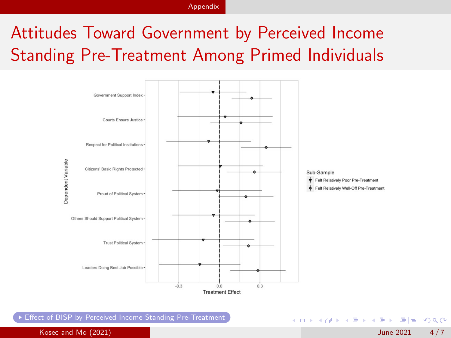[Appendix](#page-30-1)

## Attitudes Toward Government by Perceived Income Standing Pre-Treatment Among Primed Individuals

<span id="page-33-0"></span>

[Effect of BISP by Perceived Income Standing Pre-Treatment](#page-23-0)

K ロ ▶ K 個 ▶ K 로 ▶ K 로 ▶ 그리도 YO Q @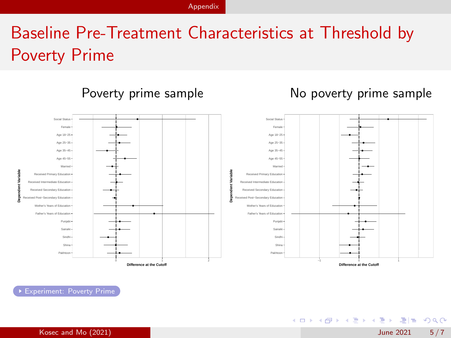## Baseline Pre-Treatment Characteristics at Threshold by Poverty Prime

<span id="page-34-0"></span>

K ロ ▶ K 個 ▶ K 로 ▶ K 로 ▶ 그리도 YO Q @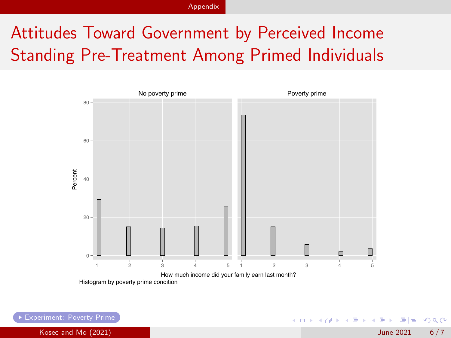# Attitudes Toward Government by Perceived Income Standing Pre-Treatment Among Primed Individuals

<span id="page-35-0"></span>

K ロ ▶ K 個 ▶ K ヨ ▶ K ヨ ▶ (ヨ)도 19 Q @